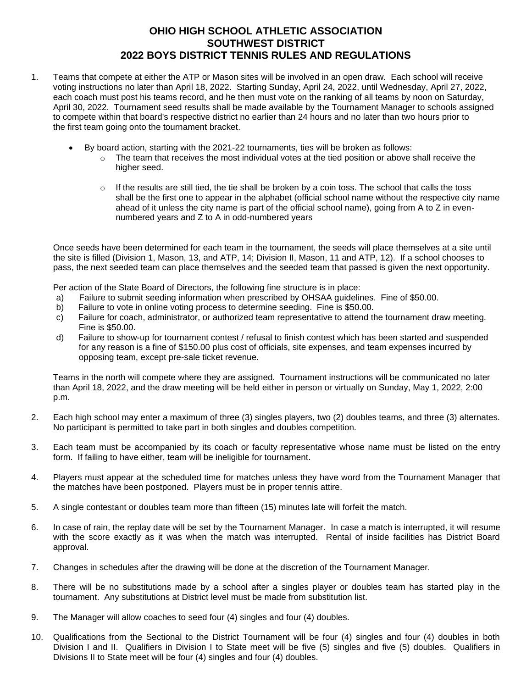## **OHIO HIGH SCHOOL ATHLETIC ASSOCIATION SOUTHWEST DISTRICT 2022 BOYS DISTRICT TENNIS RULES AND REGULATIONS**

- 1. Teams that compete at either the ATP or Mason sites will be involved in an open draw. Each school will receive voting instructions no later than April 18, 2022. Starting Sunday, April 24, 2022, until Wednesday, April 27, 2022, each coach must post his teams record, and he then must vote on the ranking of all teams by noon on Saturday, April 30, 2022. Tournament seed results shall be made available by the Tournament Manager to schools assigned to compete within that board's respective district no earlier than 24 hours and no later than two hours prior to the first team going onto the tournament bracket.
	- By board action, starting with the 2021-22 tournaments, ties will be broken as follows:
		- $\circ$  The team that receives the most individual votes at the tied position or above shall receive the higher seed.
		- $\circ$  If the results are still tied, the tie shall be broken by a coin toss. The school that calls the toss shall be the first one to appear in the alphabet (official school name without the respective city name ahead of it unless the city name is part of the official school name), going from A to Z in evennumbered years and Z to A in odd-numbered years

Once seeds have been determined for each team in the tournament, the seeds will place themselves at a site until the site is filled (Division 1, Mason, 13, and ATP, 14; Division II, Mason, 11 and ATP, 12). If a school chooses to pass, the next seeded team can place themselves and the seeded team that passed is given the next opportunity.

Per action of the State Board of Directors, the following fine structure is in place:

- a) Failure to submit seeding information when prescribed by OHSAA guidelines. Fine of \$50.00.
- b) Failure to vote in online voting process to determine seeding. Fine is \$50.00.
- c) Failure for coach, administrator, or authorized team representative to attend the tournament draw meeting. Fine is \$50.00.
- d) Failure to show-up for tournament contest / refusal to finish contest which has been started and suspended for any reason is a fine of \$150.00 plus cost of officials, site expenses, and team expenses incurred by opposing team, except pre-sale ticket revenue.

Teams in the north will compete where they are assigned. Tournament instructions will be communicated no later than April 18, 2022, and the draw meeting will be held either in person or virtually on Sunday, May 1, 2022, 2:00 p.m.

- 2. Each high school may enter a maximum of three (3) singles players, two (2) doubles teams, and three (3) alternates. No participant is permitted to take part in both singles and doubles competition.
- 3. Each team must be accompanied by its coach or faculty representative whose name must be listed on the entry form. If failing to have either, team will be ineligible for tournament.
- 4. Players must appear at the scheduled time for matches unless they have word from the Tournament Manager that the matches have been postponed. Players must be in proper tennis attire.
- 5. A single contestant or doubles team more than fifteen (15) minutes late will forfeit the match.
- 6. In case of rain, the replay date will be set by the Tournament Manager. In case a match is interrupted, it will resume with the score exactly as it was when the match was interrupted. Rental of inside facilities has District Board approval.
- 7. Changes in schedules after the drawing will be done at the discretion of the Tournament Manager.
- 8. There will be no substitutions made by a school after a singles player or doubles team has started play in the tournament. Any substitutions at District level must be made from substitution list.
- 9. The Manager will allow coaches to seed four (4) singles and four (4) doubles.
- 10. Qualifications from the Sectional to the District Tournament will be four (4) singles and four (4) doubles in both Division I and II. Qualifiers in Division I to State meet will be five (5) singles and five (5) doubles. Qualifiers in Divisions II to State meet will be four (4) singles and four (4) doubles.